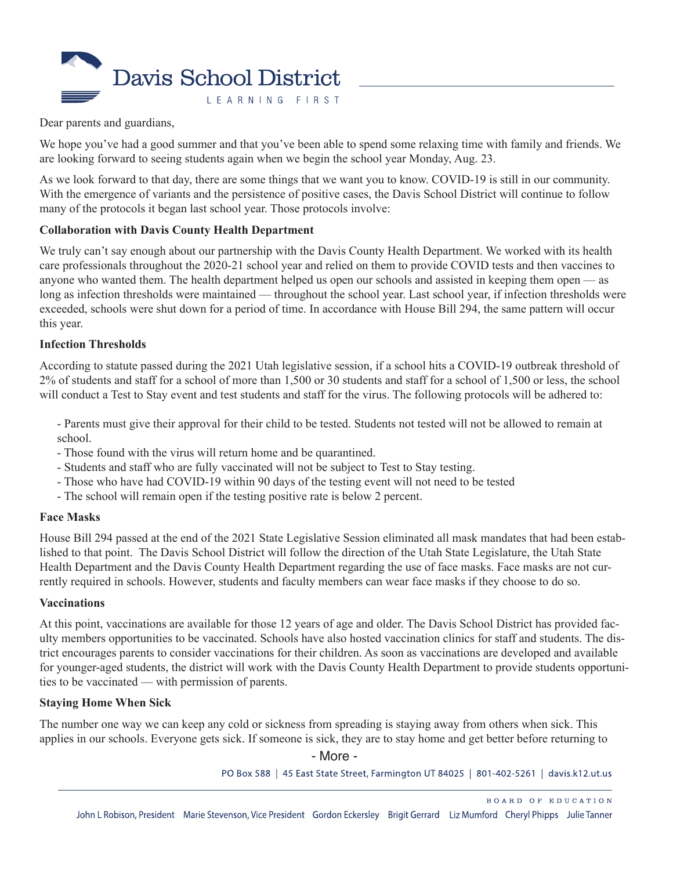

Dear parents and guardians,

We hope you've had a good summer and that you've been able to spend some relaxing time with family and friends. We are looking forward to seeing students again when we begin the school year Monday, Aug. 23.

As we look forward to that day, there are some things that we want you to know. COVID-19 is still in our community. With the emergence of variants and the persistence of positive cases, the Davis School District will continue to follow many of the protocols it began last school year. Those protocols involve:

#### **Collaboration with Davis County Health Department**

We truly can't say enough about our partnership with the Davis County Health Department. We worked with its health care professionals throughout the 2020-21 school year and relied on them to provide COVID tests and then vaccines to anyone who wanted them. The health department helped us open our schools and assisted in keeping them open — as long as infection thresholds were maintained — throughout the school year. Last school year, if infection thresholds were exceeded, schools were shut down for a period of time. In accordance with House Bill 294, the same pattern will occur this year.

#### **Infection Thresholds**

According to statute passed during the 2021 Utah legislative session, if a school hits a COVID-19 outbreak threshold of 2% of students and staff for a school of more than 1,500 or 30 students and staff for a school of 1,500 or less, the school will conduct a Test to Stay event and test students and staff for the virus. The following protocols will be adhered to:

- Parents must give their approval for their child to be tested. Students not tested will not be allowed to remain at school.

- Those found with the virus will return home and be quarantined.
- Students and staff who are fully vaccinated will not be subject to Test to Stay testing.
- Those who have had COVID-19 within 90 days of the testing event will not need to be tested
- The school will remain open if the testing positive rate is below 2 percent.

#### **Face Masks**

House Bill 294 passed at the end of the 2021 State Legislative Session eliminated all mask mandates that had been established to that point. The Davis School District will follow the direction of the Utah State Legislature, the Utah State Health Department and the Davis County Health Department regarding the use of face masks. Face masks are not currently required in schools. However, students and faculty members can wear face masks if they choose to do so.

#### **Vaccinations**

At this point, vaccinations are available for those 12 years of age and older. The Davis School District has provided faculty members opportunities to be vaccinated. Schools have also hosted vaccination clinics for staff and students. The district encourages parents to consider vaccinations for their children. As soon as vaccinations are developed and available for younger-aged students, the district will work with the Davis County Health Department to provide students opportunities to be vaccinated — with permission of parents.

#### **Staying Home When Sick**

The number one way we can keep any cold or sickness from spreading is staying away from others when sick. This applies in our schools. Everyone gets sick. If someone is sick, they are to stay home and get better before returning to

- More -

PO Box 588 | 45 East State Street, Farmington UT 84025 | 801-402-5261 | davis.k12.ut.us

BOARD OF EDUCATION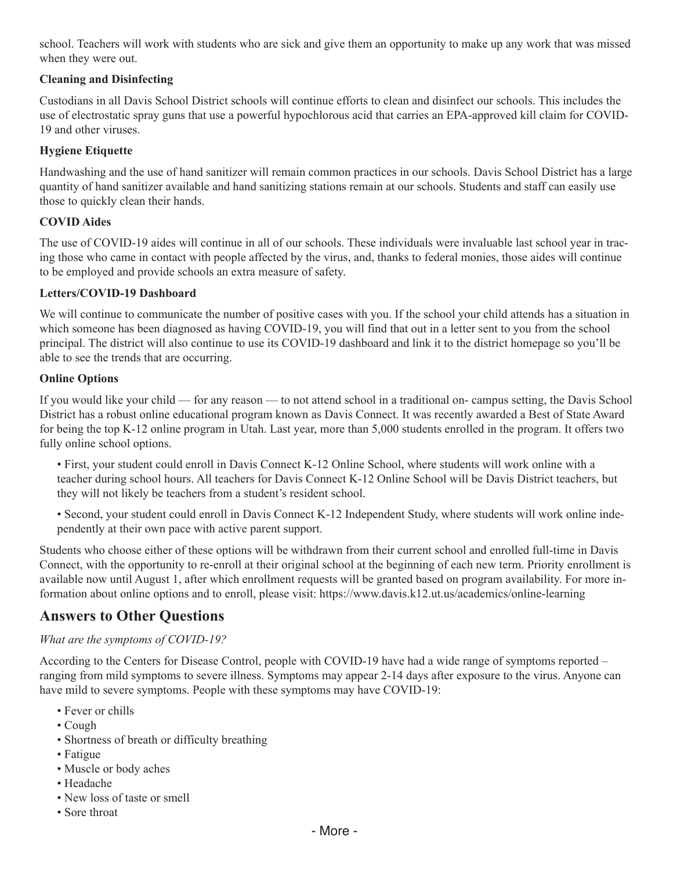school. Teachers will work with students who are sick and give them an opportunity to make up any work that was missed when they were out.

## **Cleaning and Disinfecting**

Custodians in all Davis School District schools will continue efforts to clean and disinfect our schools. This includes the use of electrostatic spray guns that use a powerful hypochlorous acid that carries an EPA-approved kill claim for COVID-19 and other viruses.

# **Hygiene Etiquette**

Handwashing and the use of hand sanitizer will remain common practices in our schools. Davis School District has a large quantity of hand sanitizer available and hand sanitizing stations remain at our schools. Students and staff can easily use those to quickly clean their hands.

## **COVID Aides**

The use of COVID-19 aides will continue in all of our schools. These individuals were invaluable last school year in tracing those who came in contact with people affected by the virus, and, thanks to federal monies, those aides will continue to be employed and provide schools an extra measure of safety.

## **Letters/COVID-19 Dashboard**

We will continue to communicate the number of positive cases with you. If the school your child attends has a situation in which someone has been diagnosed as having COVID-19, you will find that out in a letter sent to you from the school principal. The district will also continue to use its COVID-19 dashboard and link it to the district homepage so you'll be able to see the trends that are occurring.

#### **Online Options**

If you would like your child — for any reason — to not attend school in a traditional on- campus setting, the Davis School District has a robust online educational program known as Davis Connect. It was recently awarded a Best of State Award for being the top K-12 online program in Utah. Last year, more than 5,000 students enrolled in the program. It offers two fully online school options.

• First, your student could enroll in Davis Connect K-12 Online School, where students will work online with a teacher during school hours. All teachers for Davis Connect K-12 Online School will be Davis District teachers, but they will not likely be teachers from a student's resident school.

• Second, your student could enroll in Davis Connect K-12 Independent Study, where students will work online independently at their own pace with active parent support.

Students who choose either of these options will be withdrawn from their current school and enrolled full-time in Davis Connect, with the opportunity to re-enroll at their original school at the beginning of each new term. Priority enrollment is available now until August 1, after which enrollment requests will be granted based on program availability. For more information about online options and to enroll, please visit:<https://www.davis.k12.ut.us/academics/online-learning>

# **Answers to Other Questions**

#### *What are the symptoms of COVID-19?*

According to the Centers for Disease Control, people with COVID-19 have had a wide range of symptoms reported – ranging from mild symptoms to severe illness. Symptoms may appear 2-14 days after exposure to the virus. Anyone can have mild to severe symptoms. People with these symptoms may have COVID-19:

- Fever or chills
- Cough
- Shortness of breath or difficulty breathing
- Fatigue
- Muscle or body aches
- Headache
- New loss of taste or smell
- Sore throat